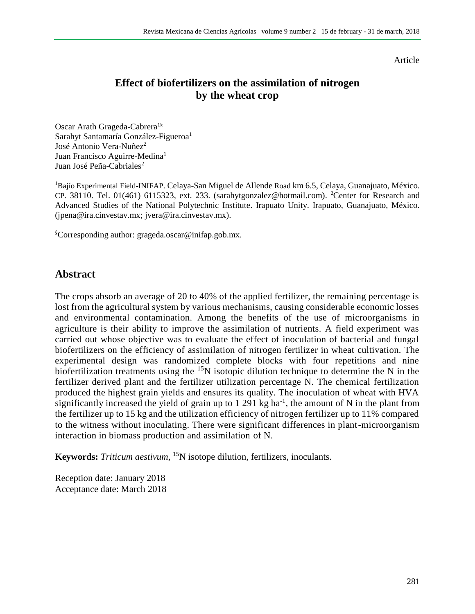#### Article

## **Effect of biofertilizers on the assimilation of nitrogen by the wheat crop**

Oscar Arath Grageda-Cabrera<sup>1§</sup> Sarahyt Santamaría González-Figueroa<sup>1</sup> José Antonio Vera-Nuñez<sup>2</sup> Juan Francisco Aguirre-Medina<sup>1</sup> Juan José Peña-Cabriales<sup>2</sup>

<sup>1</sup>Bajío Experimental Field-INIFAP. Celaya-San Miguel de Allende Road km 6.5, Celaya, Guanajuato, México. CP. 38110. Tel. 01(461) 6115323, ext. 233. (sarahytgonzalez@hotmail.com). <sup>2</sup>Center for Research and Advanced Studies of the National Polytechnic Institute. Irapuato Unity. Irapuato, Guanajuato, México. [\(jpena@ira.cinvestav.mx;](mailto:jpena@ira.cinvestav.mx) jvera@ira.cinvestav.mx).

§Corresponding author: grageda.oscar@inifap.gob.mx.

### **Abstract**

The crops absorb an average of 20 to 40% of the applied fertilizer, the remaining percentage is lost from the agricultural system by various mechanisms, causing considerable economic losses and environmental contamination. Among the benefits of the use of microorganisms in agriculture is their ability to improve the assimilation of nutrients. A field experiment was carried out whose objective was to evaluate the effect of inoculation of bacterial and fungal biofertilizers on the efficiency of assimilation of nitrogen fertilizer in wheat cultivation. The experimental design was randomized complete blocks with four repetitions and nine biofertilization treatments using the <sup>15</sup>N isotopic dilution technique to determine the N in the fertilizer derived plant and the fertilizer utilization percentage N. The chemical fertilization produced the highest grain yields and ensures its quality. The inoculation of wheat with HVA significantly increased the yield of grain up to 1 291 kg ha<sup>-1</sup>, the amount of N in the plant from the fertilizer up to 15 kg and the utilization efficiency of nitrogen fertilizer up to 11% compared to the witness without inoculating. There were significant differences in plant-microorganism interaction in biomass production and assimilation of N.

**Keywords:** *Triticum aestivum*, <sup>15</sup>N isotope dilution, fertilizers, inoculants.

Reception date: January 2018 Acceptance date: March 2018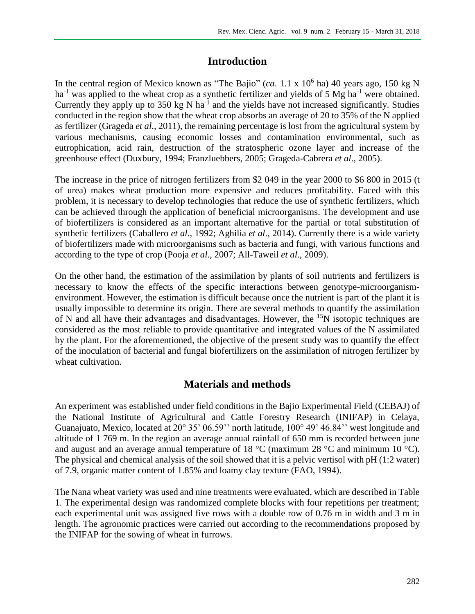# **Introduction**

In the central region of Mexico known as "The Bajio" (*ca*.  $1.1 \times 10^6$  ha) 40 years ago, 150 kg N ha<sup>-1</sup> was applied to the wheat crop as a synthetic fertilizer and yields of 5 Mg ha<sup>-1</sup> were obtained. Currently they apply up to  $350 \text{ kg} \text{ N}$  ha<sup>-1</sup> and the yields have not increased significantly. Studies conducted in the region show that the wheat crop absorbs an average of 20 to 35% of the N applied as fertilizer (Grageda *et al*., 2011), the remaining percentage is lost from the agricultural system by various mechanisms, causing economic losses and contamination environmental, such as eutrophication, acid rain, destruction of the stratospheric ozone layer and increase of the greenhouse effect (Duxbury, 1994; Franzluebbers, 2005; Grageda-Cabrera *et al*., 2005).

The increase in the price of nitrogen fertilizers from \$2 049 in the year 2000 to \$6 800 in 2015 (t of urea) makes wheat production more expensive and reduces profitability. Faced with this problem, it is necessary to develop technologies that reduce the use of synthetic fertilizers, which can be achieved through the application of beneficial microorganisms. The development and use of biofertilizers is considered as an important alternative for the partial or total substitution of synthetic fertilizers (Caballero *et al*., 1992; Aghilia *et al*., 2014). Currently there is a wide variety of biofertilizers made with microorganisms such as bacteria and fungi, with various functions and according to the type of crop (Pooja *et al*., 2007; All-Taweil *et al*., 2009).

On the other hand, the estimation of the assimilation by plants of soil nutrients and fertilizers is necessary to know the effects of the specific interactions between genotype-microorganismenvironment. However, the estimation is difficult because once the nutrient is part of the plant it is usually impossible to determine its origin. There are several methods to quantify the assimilation of N and all have their advantages and disadvantages. However, the <sup>15</sup>N isotopic techniques are considered as the most reliable to provide quantitative and integrated values of the N assimilated by the plant. For the aforementioned, the objective of the present study was to quantify the effect of the inoculation of bacterial and fungal biofertilizers on the assimilation of nitrogen fertilizer by wheat cultivation.

## **Materials and methods**

An experiment was established under field conditions in the Bajio Experimental Field (CEBAJ) of the National Institute of Agricultural and Cattle Forestry Research (INIFAP) in Celaya, Guanajuato, Mexico, located at 20° 35' 06.59'' north latitude, 100° 49' 46.84'' west longitude and altitude of 1 769 m. In the region an average annual rainfall of 650 mm is recorded between june and august and an average annual temperature of 18  $^{\circ}$ C (maximum 28  $^{\circ}$ C and minimum 10  $^{\circ}$ C). The physical and chemical analysis of the soil showed that it is a pelvic vertisol with pH (1:2 water) of 7.9, organic matter content of 1.85% and loamy clay texture (FAO, 1994).

The Nana wheat variety was used and nine treatments were evaluated, which are described in Table 1. The experimental design was randomized complete blocks with four repetitions per treatment; each experimental unit was assigned five rows with a double row of 0.76 m in width and 3 m in length. The agronomic practices were carried out according to the recommendations proposed by the INIFAP for the sowing of wheat in furrows.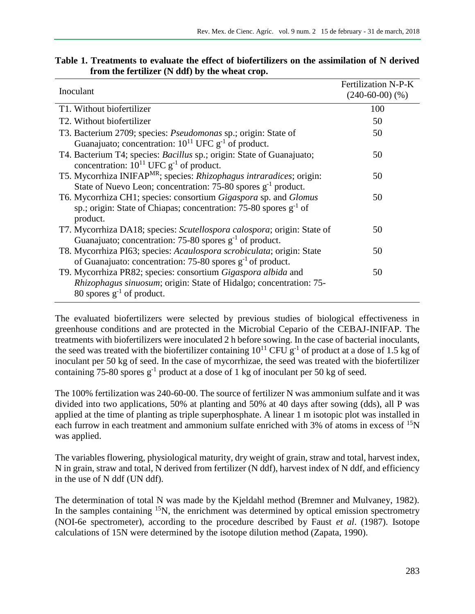| Inoculant                                                                                                                                                                     | Fertilization N-P-K<br>$(240-60-00)$ $(\%)$ |
|-------------------------------------------------------------------------------------------------------------------------------------------------------------------------------|---------------------------------------------|
| T1. Without biofertilizer                                                                                                                                                     | 100                                         |
| T2. Without biofertilizer                                                                                                                                                     | 50                                          |
| T3. Bacterium 2709; species: <i>Pseudomonas</i> sp.; origin: State of<br>Guanajuato; concentration: $10^{11}$ UFC $g^{-1}$ of product.                                        | 50                                          |
| T4. Bacterium T4; species: <i>Bacillus</i> sp.; origin: State of Guanajuato;<br>concentration: $10^{11}$ UFC $g^{-1}$ of product.                                             | 50                                          |
| T5. Mycorrhiza INIFAP <sup>MR</sup> ; species: Rhizophagus intraradices; origin:<br>State of Nuevo Leon; concentration: $75-80$ spores $g^{-1}$ product.                      | 50                                          |
| T6. Mycorrhiza CH1; species: consortium Gigaspora sp. and Glomus<br>sp.; origin: State of Chiapas; concentration: 75-80 spores $g^{-1}$ of<br>product.                        | 50                                          |
| T7. Mycorrhiza DA18; species: Scutellospora calospora; origin: State of<br>Guanajuato; concentration: 75-80 spores $g^{-1}$ of product.                                       | 50                                          |
| T8. Mycorrhiza PI63; species: Acaulospora scrobiculata; origin: State<br>of Guanajuato: concentration: 75-80 spores $g^{-1}$ of product.                                      | 50                                          |
| T9. Mycorrhiza PR82; species: consortium Gigaspora albida and<br><i>Rhizophagus sinuosum</i> ; origin: State of Hidalgo; concentration: 75-<br>80 spores $g^{-1}$ of product. | 50                                          |

### **Table 1. Treatments to evaluate the effect of biofertilizers on the assimilation of N derived from the fertilizer (N ddf) by the wheat crop.**

The evaluated biofertilizers were selected by previous studies of biological effectiveness in greenhouse conditions and are protected in the Microbial Cepario of the CEBAJ-INIFAP. The treatments with biofertilizers were inoculated 2 h before sowing. In the case of bacterial inoculants, the seed was treated with the biofertilizer containing  $10^{11}$  CFU g<sup>-1</sup> of product at a dose of 1.5 kg of inoculant per 50 kg of seed. In the case of mycorrhizae, the seed was treated with the biofertilizer containing 75-80 spores  $g^{-1}$  product at a dose of 1 kg of inoculant per 50 kg of seed.

The 100% fertilization was 240-60-00. The source of fertilizer N was ammonium sulfate and it was divided into two applications, 50% at planting and 50% at 40 days after sowing (dds), all P was applied at the time of planting as triple superphosphate. A linear 1 m isotopic plot was installed in each furrow in each treatment and ammonium sulfate enriched with  $3\%$  of atoms in excess of  $^{15}N$ was applied.

The variables flowering, physiological maturity, dry weight of grain, straw and total, harvest index, N in grain, straw and total, N derived from fertilizer (N ddf), harvest index of N ddf, and efficiency in the use of N ddf (UN ddf).

The determination of total N was made by the Kjeldahl method (Bremner and Mulvaney, 1982). In the samples containing  $15N$ , the enrichment was determined by optical emission spectrometry (NOI-6e spectrometer), according to the procedure described by Faust *et al*. (1987). Isotope calculations of 15N were determined by the isotope dilution method (Zapata, 1990).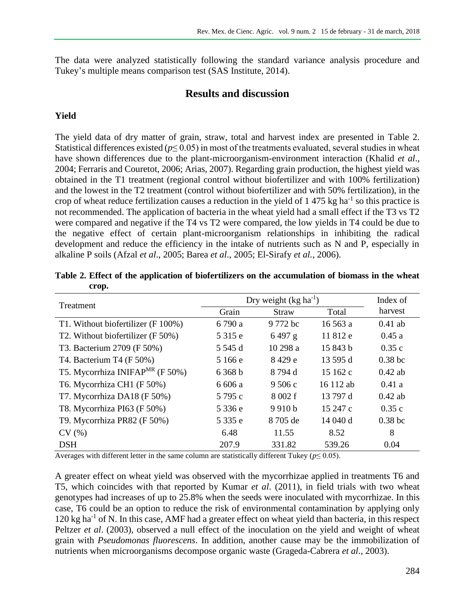The data were analyzed statistically following the standard variance analysis procedure and Tukey's multiple means comparison test (SAS Institute, 2014).

### **Results and discussion**

#### **Yield**

The yield data of dry matter of grain, straw, total and harvest index are presented in Table 2. Statistical differences existed ( $p \le 0.05$ ) in most of the treatments evaluated, several studies in wheat have shown differences due to the plant-microorganism-environment interaction (Khalid *et al*., 2004; Ferraris and Couretot, 2006; Arias, 2007). Regarding grain production, the highest yield was obtained in the T1 treatment (regional control without biofertilizer and with 100% fertilization) and the lowest in the T2 treatment (control without biofertilizer and with 50% fertilization), in the crop of wheat reduce fertilization causes a reduction in the yield of  $1,475$  kg ha<sup>-1</sup> so this practice is not recommended. The application of bacteria in the wheat yield had a small effect if the T3 vs T2 were compared and negative if the T4 vs T2 were compared, the low yields in T4 could be due to the negative effect of certain plant-microorganism relationships in inhibiting the radical development and reduce the efficiency in the intake of nutrients such as N and P, especially in alkaline P soils (Afzal *et al*., 2005; Barea *et al*., 2005; El-Sirafy *et al.*, 2006).

| Treatment                                   | Dry weight $(kg ha^{-1})$ |              |           | Index of  |
|---------------------------------------------|---------------------------|--------------|-----------|-----------|
|                                             | Grain                     | <b>Straw</b> | Total     | harvest   |
| T1. Without biofertilizer (F 100%)          | 6 790 a                   | 9772 bc      | 16563 a   | $0.41$ ab |
| T2. Without biofertilizer (F 50%)           | 5 315 e                   | 6497 g       | 11812 e   | 0.45a     |
| T3. Bacterium 2709 (F 50%)                  | 5 545 d                   | 10 298 a     | 15 843 b  | 0.35c     |
| T4. Bacterium T4 (F 50%)                    | 5 166 e                   | 8429 e       | 13 595 d  | $0.38$ bc |
| T5. Mycorrhiza INIFAP <sup>MR</sup> (F 50%) | 6 368 b                   | 8 794 d      | 15 162 c  | $0.42$ ab |
| T6. Mycorrhiza CH1 (F 50%)                  | 6 606 a                   | 9506c        | 16 112 ab | 0.41a     |
| T7. Mycorrhiza DA18 (F 50%)                 | 5795c                     | 8 002 f      | 13 797 d  | $0.42$ ab |
| T8. Mycorrhiza PI63 (F 50%)                 | 5 3 3 6 e                 | 9910 b       | 15 247 c  | 0.35c     |
| T9. Mycorrhiza PR82 (F 50%)                 | 5 3 3 e                   | 8 705 de     | 14 040 d  | $0.38$ bc |
| CV(%)                                       | 6.48                      | 11.55        | 8.52      | 8         |
| <b>DSH</b>                                  | 207.9                     | 331.82       | 539.26    | 0.04      |

**Table 2. Effect of the application of biofertilizers on the accumulation of biomass in the wheat crop.**

Averages with different letter in the same column are statistically different Tukey ( $p \leq 0.05$ ).

A greater effect on wheat yield was observed with the mycorrhizae applied in treatments T6 and T5, which coincides with that reported by Kumar *et al*. (2011), in field trials with two wheat genotypes had increases of up to 25.8% when the seeds were inoculated with mycorrhizae. In this case, T6 could be an option to reduce the risk of environmental contamination by applying only 120 kg ha<sup>-1</sup> of N. In this case, AMF had a greater effect on wheat yield than bacteria, in this respect Peltzer *et al.* (2003), observed a null effect of the inoculation on the yield and weight of wheat grain with *Pseudomonas fluorescens*. In addition, another cause may be the immobilization of nutrients when microorganisms decompose organic waste (Grageda-Cabrera *et al*., 2003).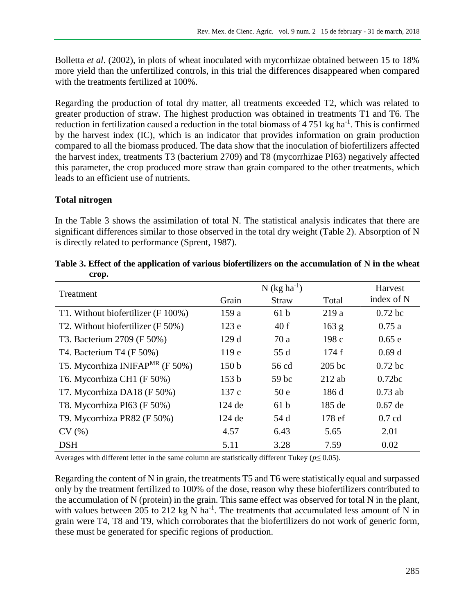Bolletta *et al*. (2002), in plots of wheat inoculated with mycorrhizae obtained between 15 to 18% more yield than the unfertilized controls, in this trial the differences disappeared when compared with the treatments fertilized at 100%.

Regarding the production of total dry matter, all treatments exceeded T2, which was related to greater production of straw. The highest production was obtained in treatments T1 and T6. The reduction in fertilization caused a reduction in the total biomass of  $4751 \text{ kg ha}^{-1}$ . This is confirmed by the harvest index (IC), which is an indicator that provides information on grain production compared to all the biomass produced. The data show that the inoculation of biofertilizers affected the harvest index, treatments T3 (bacterium 2709) and T8 (mycorrhizae PI63) negatively affected this parameter, the crop produced more straw than grain compared to the other treatments, which leads to an efficient use of nutrients.

### **Total nitrogen**

In the Table 3 shows the assimilation of total N. The statistical analysis indicates that there are significant differences similar to those observed in the total dry weight (Table 2). Absorption of N is directly related to performance (Sprent, 1987).

| Treatment                                   | $N$ (kg ha <sup>-1</sup> ) |                  |          | Harvest    |
|---------------------------------------------|----------------------------|------------------|----------|------------|
|                                             | Grain                      | <b>Straw</b>     | Total    | index of N |
| T1. Without biofertilizer (F 100%)          | 159 a                      | 61 <sub>b</sub>  | 219a     | $0.72$ bc  |
| T2. Without biofertilizer (F 50%)           | 123e                       | 40f              | 163 g    | 0.75a      |
| T3. Bacterium 2709 (F 50%)                  | 129d                       | 70a              | 198c     | 0.65e      |
| T4. Bacterium T4 (F 50%)                    | 119 <sub>e</sub>           | 55 d             | 174f     | 0.69d      |
| T5. Mycorrhiza INIFAP <sup>MR</sup> (F 50%) | 150 <sub>b</sub>           | 56 cd            | $205$ bc | $0.72$ bc  |
| T6. Mycorrhiza CH1 (F 50%)                  | 153 <sub>b</sub>           | 59 <sub>bc</sub> | $212$ ab | 0.72bc     |
| T7. Mycorrhiza DA18 (F 50%)                 | 137c                       | 50 <sub>e</sub>  | 186d     | $0.73$ ab  |
| T8. Mycorrhiza PI63 (F 50%)                 | 124 de                     | 61 <sub>b</sub>  | 185 de   | $0.67$ de  |
| T9. Mycorrhiza PR82 (F 50%)                 | $124$ de                   | 54 d             | 178 ef   | $0.7$ cd   |
| CV(%)                                       | 4.57                       | 6.43             | 5.65     | 2.01       |
| <b>DSH</b>                                  | 5.11                       | 3.28             | 7.59     | 0.02       |

| Table 3. Effect of the application of various biofertilizers on the accumulation of N in the wheat |  |
|----------------------------------------------------------------------------------------------------|--|
| crop.                                                                                              |  |

Averages with different letter in the same column are statistically different Tukey ( $p \leq 0.05$ ).

Regarding the content of N in grain, the treatments T5 and T6 were statistically equal and surpassed only by the treatment fertilized to 100% of the dose, reason why these biofertilizers contributed to the accumulation of N (protein) in the grain. This same effect was observed for total N in the plant, with values between 205 to 212 kg N ha<sup>-1</sup>. The treatments that accumulated less amount of N in grain were T4, T8 and T9, which corroborates that the biofertilizers do not work of generic form, these must be generated for specific regions of production.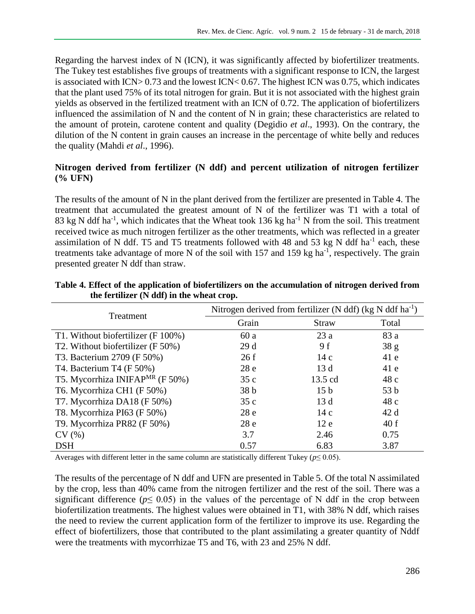Regarding the harvest index of N (ICN), it was significantly affected by biofertilizer treatments. The Tukey test establishes five groups of treatments with a significant response to ICN, the largest is associated with ICN> 0.73 and the lowest ICN< 0.67. The highest ICN was 0.75, which indicates that the plant used 75% of its total nitrogen for grain. But it is not associated with the highest grain yields as observed in the fertilized treatment with an ICN of 0.72. The application of biofertilizers influenced the assimilation of N and the content of N in grain; these characteristics are related to the amount of protein, carotene content and quality (Degidio *et al*., 1993). On the contrary, the dilution of the N content in grain causes an increase in the percentage of white belly and reduces the quality (Mahdi *et al*., 1996).

### **Nitrogen derived from fertilizer (N ddf) and percent utilization of nitrogen fertilizer (% UFN)**

The results of the amount of N in the plant derived from the fertilizer are presented in Table 4. The treatment that accumulated the greatest amount of N of the fertilizer was T1 with a total of 83 kg N ddf ha<sup>-1</sup>, which indicates that the Wheat took 136 kg ha<sup>-1</sup> N from the soil. This treatment received twice as much nitrogen fertilizer as the other treatments, which was reflected in a greater assimilation of N ddf. T5 and T5 treatments followed with 48 and 53 kg N ddf ha<sup>-1</sup> each, these treatments take advantage of more N of the soil with  $157$  and  $159$  kg ha<sup>-1</sup>, respectively. The grain presented greater N ddf than straw.

| Treatment                                   | Nitrogen derived from fertilizer (N ddf) ( $kg N$ ddf ha <sup>-1</sup> ) |                 |                 |
|---------------------------------------------|--------------------------------------------------------------------------|-----------------|-----------------|
|                                             | Grain                                                                    | <b>Straw</b>    | Total           |
| T1. Without biofertilizer (F 100%)          | 60a                                                                      | 23a             | 83 a            |
| T2. Without biofertilizer (F 50%)           | 29d                                                                      | 9 f             | 38 g            |
| T3. Bacterium 2709 (F 50%)                  | 26f                                                                      | 14c             | 41e             |
| T4. Bacterium T4 (F 50%)                    | 28e                                                                      | 13d             | 41e             |
| T5. Mycorrhiza INIFAP <sup>MR</sup> (F 50%) | 35c                                                                      | 13.5 cd         | 48c             |
| T6. Mycorrhiza CH1 (F 50%)                  | 38 <sub>b</sub>                                                          | 15 <sub>b</sub> | 53 <sub>b</sub> |
| T7. Mycorrhiza DA18 (F 50%)                 | 35c                                                                      | 13d             | 48c             |
| T8. Mycorrhiza PI63 (F 50%)                 | 28e                                                                      | 14c             | 42d             |
| T9. Mycorrhiza PR82 (F 50%)                 | 28e                                                                      | 12e             | 40f             |
| CV(%)                                       | 3.7                                                                      | 2.46            | 0.75            |
| <b>DSH</b>                                  | 0.57                                                                     | 6.83            | 3.87            |

#### **Table 4. Effect of the application of biofertilizers on the accumulation of nitrogen derived from the fertilizer (N ddf) in the wheat crop.**

Averages with different letter in the same column are statistically different Tukey ( $p \le 0.05$ ).

The results of the percentage of N ddf and UFN are presented in Table 5. Of the total N assimilated by the crop, less than 40% came from the nitrogen fertilizer and the rest of the soil. There was a significant difference ( $p \leq 0.05$ ) in the values of the percentage of N ddf in the crop between biofertilization treatments. The highest values were obtained in T1, with 38% N ddf, which raises the need to review the current application form of the fertilizer to improve its use. Regarding the effect of biofertilizers, those that contributed to the plant assimilating a greater quantity of Nddf were the treatments with mycorrhizae T5 and T6, with 23 and 25% N ddf.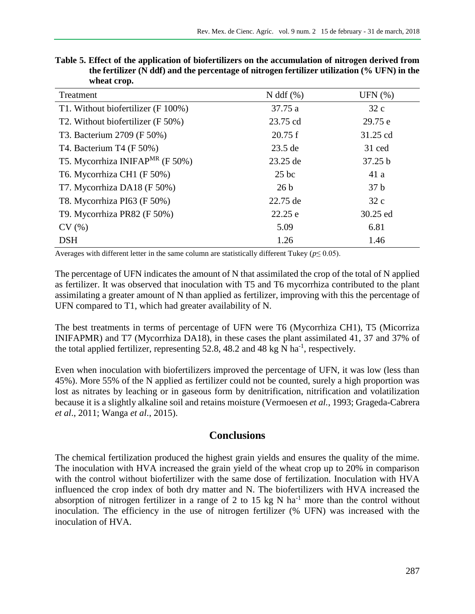| www.crop.                                   |                 |                 |
|---------------------------------------------|-----------------|-----------------|
| Treatment                                   | $N$ ddf $(\%)$  | UFN $(\%)$      |
| T1. Without biofertilizer (F 100%)          | 37.75 a         | 32c             |
| T2. Without biofertilizer (F 50%)           | 23.75 cd        | 29.75 e         |
| T3. Bacterium 2709 (F 50%)                  | 20.75 f         | 31.25 cd        |
| T4. Bacterium T4 (F 50%)                    | $23.5$ de       | 31 ced          |
| T5. Mycorrhiza INIFAP <sup>MR</sup> (F 50%) | 23.25 de        | 37.25 b         |
| T6. Mycorrhiza CH1 (F 50%)                  | $25$ bc         | 41a             |
| T7. Mycorrhiza DA18 (F 50%)                 | 26 <sub>b</sub> | 37 <sub>b</sub> |
| T8. Mycorrhiza PI63 (F 50%)                 | 22.75 de        | 32c             |
| T9. Mycorrhiza PR82 (F 50%)                 | 22.25 e         | 30.25 ed        |
| CV(%)                                       | 5.09            | 6.81            |
| <b>DSH</b>                                  | 1.26            | 1.46            |

**Table 5. Effect of the application of biofertilizers on the accumulation of nitrogen derived from the fertilizer (N ddf) and the percentage of nitrogen fertilizer utilization (% UFN) in the wheat crop.**

Averages with different letter in the same column are statistically different Tukey ( $p \le 0.05$ ).

The percentage of UFN indicates the amount of N that assimilated the crop of the total of N applied as fertilizer. It was observed that inoculation with T5 and T6 mycorrhiza contributed to the plant assimilating a greater amount of N than applied as fertilizer, improving with this the percentage of UFN compared to T1, which had greater availability of N.

The best treatments in terms of percentage of UFN were T6 (Mycorrhiza CH1), T5 (Micorriza INIFAPMR) and T7 (Mycorrhiza DA18), in these cases the plant assimilated 41, 37 and 37% of the total applied fertilizer, representing 52.8, 48.2 and 48 kg N ha<sup>-1</sup>, respectively.

Even when inoculation with biofertilizers improved the percentage of UFN, it was low (less than 45%). More 55% of the N applied as fertilizer could not be counted, surely a high proportion was lost as nitrates by leaching or in gaseous form by denitrification, nitrification and volatilization because it is a slightly alkaline soil and retains moisture (Vermoesen *et al.*, 1993; Grageda-Cabrera *et al*., 2011; Wanga *et al*., 2015).

## **Conclusions**

The chemical fertilization produced the highest grain yields and ensures the quality of the mime. The inoculation with HVA increased the grain yield of the wheat crop up to 20% in comparison with the control without biofertilizer with the same dose of fertilization. Inoculation with HVA influenced the crop index of both dry matter and N. The biofertilizers with HVA increased the absorption of nitrogen fertilizer in a range of 2 to 15 kg N ha<sup>-1</sup> more than the control without inoculation. The efficiency in the use of nitrogen fertilizer (% UFN) was increased with the inoculation of HVA.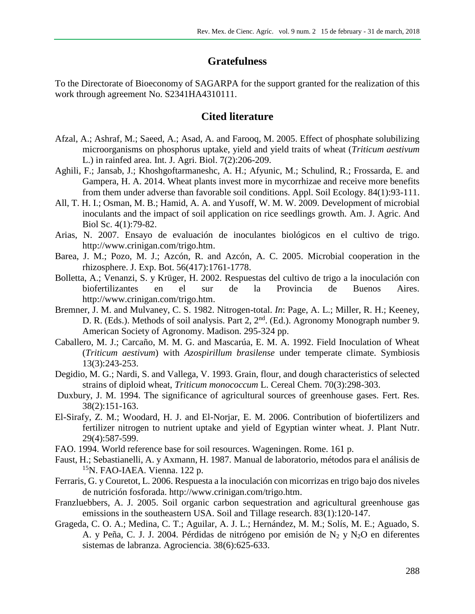## **Gratefulness**

To the Directorate of Bioeconomy of SAGARPA for the support granted for the realization of this work through agreement No. S2341HA4310111.

### **Cited literature**

- Afzal, A.; Ashraf, M.; Saeed, A.; Asad, A. and Farooq, M. 2005. Effect of phosphate solubilizing microorganisms on phosphorus uptake, yield and yield traits of wheat (*Triticum aestivum* L.) in rainfed area. Int. J. Agri. Biol. 7(2):206-209.
- Aghili, F.; Jansab, J.; Khoshgoftarmaneshc, A. H.; Afyunic, M.; Schulind, R.; Frossarda, E. and Gampera, H. A. 2014. Wheat plants invest more in mycorrhizae and receive more benefits from them under adverse than favorable soil conditions. Appl. Soil Ecology. 84(1):93-111.
- All, T. H. I.; Osman, M. B.; Hamid, A. A. and Yusoff, W. M. W. 2009. Development of microbial inoculants and the impact of soil application on rice seedlings growth. Am. J. Agric. And Biol Sc. 4(1):79-82.
- Arias, N. 2007. Ensayo de evaluación de inoculantes biológicos en el cultivo de trigo. [http://www.crinigan.com/trigo.htm.](http://www.crinigan.com/trigo.htm)
- Barea, J. M.; Pozo, M. J.; Azcón, R. and Azcón, A. C. 2005. Microbial cooperation in the rhizosphere. J. Exp. Bot. 56(417):1761-1778.
- Bolletta, A.; Venanzi, S. y Krüger, H. 2002. Respuestas del cultivo de trigo a la inoculación con biofertilizantes en el sur de la Provincia de Buenos Aires. [http://www.crinigan.com/trigo.htm.](http://www.crinigan.com/trigo.htm)
- Bremner, J. M. and Mulvaney, C. S. 1982. Nitrogen-total. *In*: Page, A. L.; Miller, R. H.; Keeney, D. R. (Eds.). Methods of soil analysis. Part 2, 2<sup>nd</sup>. (Ed.). Agronomy Monograph number 9. American Society of Agronomy. Madison. 295-324 pp.
- Caballero, M. J.; Carcaño, M. M. G. and Mascarúa, E. M. A. 1992. Field Inoculation of Wheat (*Triticum aestivum*) with *Azospirillum brasilense* under temperate climate. Symbiosis 13(3):243-253.
- Degidio, M. G.; Nardi, S. and Vallega, V. 1993. Grain, flour, and dough characteristics of selected strains of diploid wheat, *Triticum monococcum* L. Cereal Chem. 70(3):298-303.
- Duxbury, J. M. 1994. The significance of agricultural sources of greenhouse gases. Fert. Res. 38(2):151-163.
- El-Sirafy, Z. M.; Woodard, H. J. and El-Norjar, E. M. 2006. Contribution of biofertilizers and fertilizer nitrogen to nutrient uptake and yield of Egyptian winter wheat. J. Plant Nutr. 29(4):587-599.
- FAO. 1994. World reference base for soil resources. Wageningen. Rome. 161 p.
- Faust, H.; Sebastianelli, A. y Axmann, H. 1987. Manual de laboratorio, métodos para el análisis de <sup>15</sup>N. FAO-IAEA. Vienna. 122 p.
- Ferraris, G. y Couretot, L. 2006. Respuesta a la inoculación con micorrizas en trigo bajo dos niveles de nutrición fosforada. [http://www.crinigan.com/trigo.htm.](http://www.crinigan.com/trigo.htm)
- Franzluebbers, A. J. 2005. Soil organic carbon sequestration and agricultural greenhouse gas emissions in the southeastern USA. Soil and Tillage research. 83(1):120-147.
- Grageda, C. O. A.; Medina, C. T.; Aguilar, A. J. L.; Hernández, M. M.; Solís, M. E.; Aguado, S. A. y Peña, C. J. J. 2004. Pérdidas de nitrógeno por emisión de N<sub>2</sub> y N<sub>2</sub>O en diferentes sistemas de labranza. Agrociencia. 38(6):625-633.